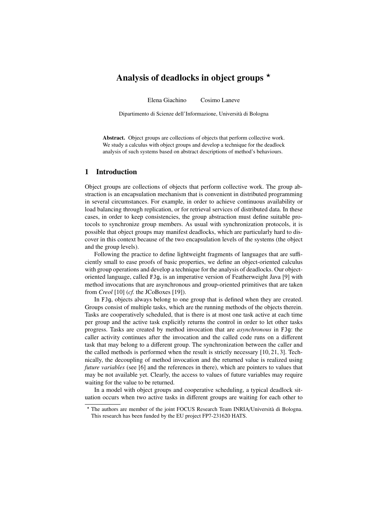# Analysis of deadlocks in object groups  $\star$

Elena Giachino Cosimo Laneve

Dipartimento di Scienze dell'Informazione, Universita di Bologna `

Abstract. Object groups are collections of objects that perform collective work. We study a calculus with object groups and develop a technique for the deadlock analysis of such systems based on abstract descriptions of method's behaviours.

# 1 Introduction

Object groups are collections of objects that perform collective work. The group abstraction is an encapsulation mechanism that is convenient in distributed programming in several circumstances. For example, in order to achieve continuous availability or load balancing through replication, or for retrieval services of distributed data. In these cases, in order to keep consistencies, the group abstraction must define suitable protocols to synchronize group members. As usual with synchronization protocols, it is possible that object groups may manifest deadlocks, which are particularly hard to discover in this context because of the two encapsulation levels of the systems (the object and the group levels).

Following the practice to define lightweight fragments of languages that are sufficiently small to ease proofs of basic properties, we define an object-oriented calculus with group operations and develop a technique for the analysis of deadlocks. Our objectoriented language, called FJg, is an imperative version of Featherweight Java [9] with method invocations that are asynchronous and group-oriented primitives that are taken from *Creol* [10] (*cf.* the JCoBoxes [19]).

In FJg, objects always belong to one group that is defined when they are created. Groups consist of multiple tasks, which are the running methods of the objects therein. Tasks are cooperatively scheduled, that is there is at most one task active at each time per group and the active task explicitly returns the control in order to let other tasks progress. Tasks are created by method invocation that are *asynchronous* in FJg: the caller activity continues after the invocation and the called code runs on a different task that may belong to a different group. The synchronization between the caller and the called methods is performed when the result is strictly necessary [10, 21, 3]. Technically, the decoupling of method invocation and the returned value is realized using *future variables* (see [6] and the references in there), which are pointers to values that may be not available yet. Clearly, the access to values of future variables may require waiting for the value to be returned.

In a model with object groups and cooperative scheduling, a typical deadlock situation occurs when two active tasks in different groups are waiting for each other to

<sup>?</sup> The authors are member of the joint FOCUS Research Team INRIA/Universita di Bologna. ` This research has been funded by the EU project FP7-231620 HATS.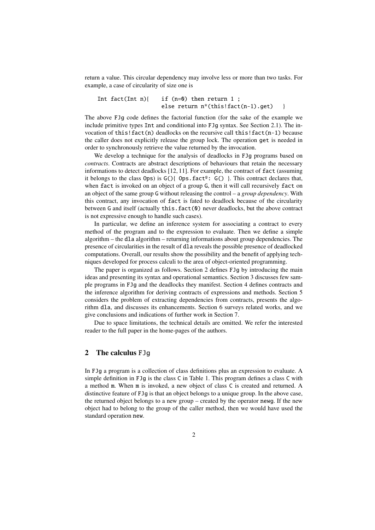return a value. This circular dependency may involve less or more than two tasks. For example, a case of circularity of size one is

Int fact(Int n){ if (n=0) then return 1 ; else return  $n^*(\text{this!fact}(n-1).get)$ 

The above FJg code defines the factorial function (for the sake of the example we include primitive types Int and conditional into FJg syntax. See Section 2.1). The invocation of this!  $fact(n)$  deadlocks on the recursive call this!  $fact(n-1)$  because the caller does not explicitly release the group lock. The operation get is needed in order to synchronously retrieve the value returned by the invocation.

We develop a technique for the analysis of deadlocks in FJq programs based on *contracts*. Contracts are abstract descriptions of behaviours that retain the necessary informations to detect deadlocks [12, 11]. For example, the contract of fact (assuming it belongs to the class Ops) is  $G()$  Ops. fact<sup>9</sup>:  $G()$  }. This contract declares that, when fact is invoked on an object of a group G, then it will call recursively fact on an object of the same group G without releasing the control – a *group dependency*. With this contract, any invocation of fact is fated to deadlock because of the circularity between G and itself (actually this.fact(0) never deadlocks, but the above contract is not expressive enough to handle such cases).

In particular, we define an inference system for associating a contract to every method of the program and to the expression to evaluate. Then we define a simple algorithm – the dla algorithm – returning informations about group dependencies. The presence of circularities in the result of dla reveals the possible presence of deadlocked computations. Overall, our results show the possibility and the benefit of applying techniques developed for process calculi to the area of object-oriented programming.

The paper is organized as follows. Section 2 defines FJg by introducing the main ideas and presenting its syntax and operational semantics. Section 3 discusses few sample programs in FJg and the deadlocks they manifest. Section 4 defines contracts and the inference algorithm for deriving contracts of expressions and methods. Section 5 considers the problem of extracting dependencies from contracts, presents the algorithm dla, and discusses its enhancements. Section 6 surveys related works, and we give conclusions and indications of further work in Section 7.

Due to space limitations, the technical details are omitted. We refer the interested reader to the full paper in the home-pages of the authors.

### 2 The calculus FJg

In FJg a program is a collection of class definitions plus an expression to evaluate. A simple definition in FJg is the class C in Table 1. This program defines a class C with a method m. When m is invoked, a new object of class C is created and returned. A distinctive feature of FJg is that an object belongs to a unique group. In the above case, the returned object belongs to a new group – created by the operator newg. If the new object had to belong to the group of the caller method, then we would have used the standard operation new.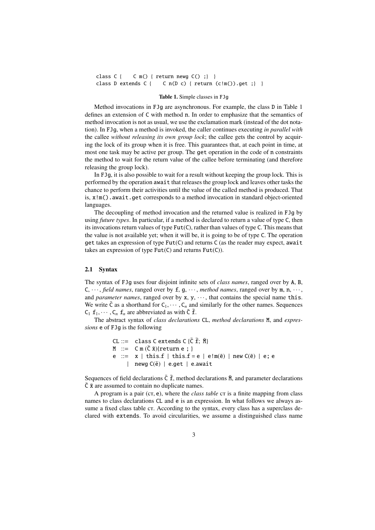class  $C \{ C m() \{ return newg C() ; } \}$ class D extends C { C n(D c) { return  $(c!m())$ .get ;} }

#### Table 1. Simple classes in FJg

Method invocations in FJg are asynchronous. For example, the class D in Table 1 defines an extension of C with method n. In order to emphasize that the semantics of method invocation is not as usual, we use the exclamation mark (instead of the dot notation). In FJg, when a method is invoked, the caller continues executing *in parallel with* the callee *without releasing its own group lock*; the callee gets the control by acquiring the lock of its group when it is free. This guarantees that, at each point in time, at most one task may be active per group. The get operation in the code of n constraints the method to wait for the return value of the callee before terminating (and therefore releasing the group lock).

In FJg, it is also possible to wait for a result without keeping the group lock. This is performed by the operation await that releases the group lock and leaves other tasks the chance to perform their activities until the value of the called method is produced. That is,  $x \, \text{Im}()$ . await.get corresponds to a method invocation in standard object-oriented languages.

The decoupling of method invocation and the returned value is realized in FJg by using *future types*. In particular, if a method is declared to return a value of type C, then its invocations return values of type Fut(C), rather than values of type C. This means that the value is not available yet; when it will be, it is going to be of type C. The operation get takes an expression of type Fut(C) and returns C (as the reader may expect, await takes an expression of type  $Fut(C)$  and returns  $Fut(C)$ ).

#### 2.1 Syntax

The syntax of FJg uses four disjoint infinite sets of *class names*, ranged over by A, B, C,  $\cdots$ , *field names*, ranged over by f, g,  $\cdots$ , *method names*, ranged over by m, n,  $\cdots$ , and *parameter names*, ranged over by  $x, y, \dots$ , that contains the special name this. We write  $\bar{C}$  as a shorthand for  $C_1, \dots, C_n$  and similarly for the other names. Sequences  $C_1$   $f_1, \dots, f_n$   $f_n$  are abbreviated as with  $\overline{C}$   $\overline{f}$ .

The abstract syntax of *class declarations* CL, *method declarations* M, and *expressions* e of FJg is the following

> CL ::= class C extends C { $\bar{C}$   $\bar{f}$ ;  $\bar{M}$ }  $M := C m (\overline{C} \overline{x}) \{ return e : \}$ e ::=  $x \mid \text{this.f} \mid \text{this.f} = e \mid e!m(\bar{e}) \mid new C(\bar{e}) \mid e$ ; e | newg  $C(\bar{e})$  | e.get | e.await

Sequences of field declarations  $\bar{C}$   $\bar{f}$ , method declarations  $\bar{M}$ , and parameter declarations  $\bar{C}$   $\bar{x}$  are assumed to contain no duplicate names.

A program is a pair (ct, e), where the *class table* ct is a finite mapping from class names to class declarations CL and e is an expression. In what follows we always assume a fixed class table cr. According to the syntax, every class has a superclass declared with extends. To avoid circularities, we assume a distinguished class name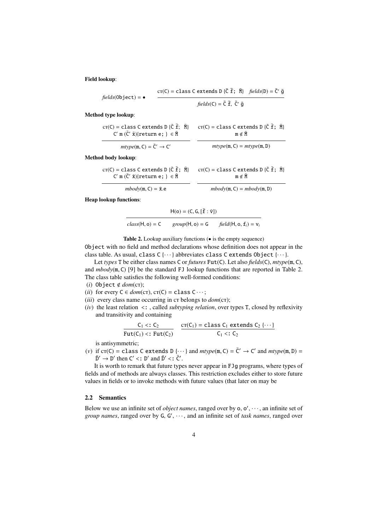Field lookup:

$$
fields(Object) = \bullet \qquad \frac{cr(C) = \text{class } C \text{ extends } D \{ \bar{C} \bar{f}; \ \bar{M} \} \quad fields(D) = \bar{C}' \bar{g}}{\text{fields}(C) = \bar{C} \bar{f}, \ \bar{C}' \bar{g}}
$$

Method type lookup:

$$
\text{cr}(C) = \text{class C extends D} \{ \bar{C} \bar{f}; \ \bar{M} \} \quad \text{cr}(C) = \text{class C extends D} \{ \bar{C} \bar{f}; \ \bar{M} \} \quad \text{cr}(C) = \text{class C extends D} \{ \bar{C} \bar{f}; \ \bar{M} \} \quad \text{m} \notin \bar{M} \quad \text{m} \notin \bar{M} \quad \text{m} \notin \bar{M} \quad \text{m} \notin \bar{M} \quad \text{m} \notin \bar{M} \quad \text{m} \notin \bar{M} \quad \text{m} \notin \bar{M} \quad \text{m} \notin \bar{M} \quad \text{m} \notin \bar{M} \quad \text{m} \notin \bar{M} \quad \text{m} \notin \bar{M} \quad \text{m} \notin \bar{M} \quad \text{m} \notin \bar{M} \quad \text{m} \notin \bar{M} \quad \text{m} \notin \bar{M} \quad \text{m} \notin \bar{M} \quad \text{m} \notin \bar{M} \quad \text{m} \notin \bar{M} \quad \text{m} \notin \bar{M} \quad \text{m} \notin \bar{M} \quad \text{m} \notin \bar{M} \quad \text{m} \notin \bar{M} \quad \text{m} \notin \bar{M} \quad \text{m} \notin \bar{M} \quad \text{m} \notin \bar{M} \quad \text{m} \notin \bar{M} \quad \text{m} \notin \bar{M} \quad \text{m} \notin \bar{M} \quad \text{m} \notin \bar{M} \quad \text{m} \notin \bar{M} \quad \text{m} \notin \bar{M} \quad \text{m} \notin \bar{M} \quad \text{m} \notin \bar{M} \quad \text{m} \notin \bar{M} \quad \text{m} \notin \bar{M} \quad \text{m} \notin \bar{M} \quad \text{m} \notin \bar{M} \quad \text{m} \notin \bar{M} \quad \text{m} \notin \bar{M} \quad \text{m} \notin \bar{M} \quad \text{m} \notin \bar{M} \quad \text{m} \notin \bar{M} \quad \text{m} \notin \bar{M} \quad \text{m} \notin \bar{M} \quad \text{m} \notin \bar{M} \quad \text{m} \notin \bar{M} \quad \text
$$

Method body lookup:

$$
\text{cr}(C) = \text{class C extends D} \{ \bar{C} \bar{f}; \ \bar{M} \} \qquad \text{cr}(C) = \text{class C extends D} \{ \bar{C} \bar{f}; \ \bar{M} \} \qquad \text{cr}(C) = \text{class C extends D} \{ \bar{C} \bar{f}; \ \bar{M} \} \qquad \text{m} \notin \bar{M} \qquad \text{m} \notin \bar{M}
$$

Heap lookup functions:

$$
H(o) = (C, G, [\overline{f} : \overline{v}])
$$
  
class(H, o) = C  
 
$$
group(H, o) = G
$$
 
$$
field(H, o, f_i) = v_i
$$

Table 2. Lookup auxiliary functions (• is the empty sequence)

Object with no field and method declarations whose definition does not appear in the class table. As usual, class  $C \{\cdots\}$  abbreviates class C extends Object  $\{\cdots\}$ .

Let *types* <sup>T</sup> be either class names <sup>C</sup> or *futures* Fut(C). Let also *fields*(C), *mtype*(m, <sup>C</sup>), and *mbody*(m, <sup>C</sup>) [9] be the standard FJ lookup functions that are reported in Table 2. The class table satisfies the following well-formed conditions:

- (*i*) Object  $\notin dom$ (cT);
- (*ii*) for every  $C \in dom(c\tau)$ ,  $c\tau(C) = \text{class } C \cdots$ ;
- (*iii*) every class name occurring in cr belongs to  $dom(c\tau)$ ;
- (*iv*) the least relation <: , called *subtyping relation*, over types T, closed by reflexivity and transitivity and containing

$$
\frac{C_1 <: C_2}{\text{Fut}(C_1) <: \text{Fut}(C_2)} \quad \frac{\text{cr}(C_1) = \text{class } C_1 \text{ extends } C_2 \{\cdots\}}{C_1 <: C_2}
$$

is antisymmetric;

(*v*) if  $cr(C) = \text{class } C \text{ extends } D \{ \cdots \} \text{ and } mtype(m, C) = \overline{C}' \rightarrow C' \text{ and } mtype(m, D) = \overline{D}' \rightarrow D' \text{ then } C' \leq D' \text{ and } \overline{D}' \leq \overline{C}'$  $\bar{D}' \rightarrow D'$  then  $C' < : D'$  and  $\bar{D}' < : \bar{C}'$ .

It is worth to remark that future types never appear in FJg programs, where types of fields and of methods are always classes. This restriction excludes either to store future values in fields or to invoke methods with future values (that later on may be

### 2.2 Semantics

Below we use an infinite set of *object names*, ranged over by  $o, o', \dots$ , an infinite set of group names, ranged over by  $G, G', \cdots$ , and an infinite set of *task names*, ranged over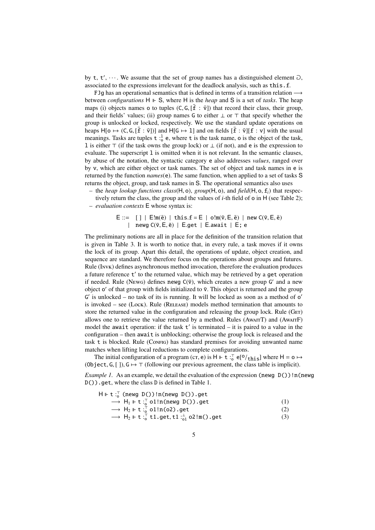by  $t, t', \cdots$ . We assume that the set of group names has a distinguished element  $\Theta$ , associated to the expressions irrelevant for the deadlock analysis, such as this.f.

FJg has an operational semantics that is defined in terms of a transition relation −→ between *configurations*  $H \vDash S$ , where H is the *heap* and S is a set of *tasks*. The heap maps (i) objects names o to tuples  $(C, G, [\bar{f} : \bar{v}])$  that record their class, their group, and their fields' values; (ii) group names G to either  $\perp$  or  $\top$  that specify whether the group is unlocked or locked, respectively. We use the standard update operations on heaps H[o  $\mapsto$  (C, G,  $[\bar{f} : \bar{v}]]$  and H[G  $\mapsto$  1] and on fields  $[\bar{f} : \bar{v}][f : v]$  with the usual meanings. Tasks are tuples  $t :_{o}^{1} e$ , where  $t$  is the task name, o is the object of the task, l is either  $\top$  (if the task owns the group lock) or  $\bot$  (if not), and e is the expression to evaluate. The superscript l is omitted when it is not relevant. In the semantic clauses, by abuse of the notation, the syntactic category e also addresses *values*, ranged over by v, which are either object or task names. The set of object and task names in e is returned by the function *names*(e). The same function, when applied to a set of tasks S returns the object, group, and task names in S. The operational semantics also uses

– the *heap lookup functions class*(H, <sup>o</sup>), *group*(H, <sup>o</sup>), and *field*(H, <sup>o</sup>, <sup>f</sup>*i*) that respectively return the class, the group and the values of *i*-th field of o in H (see Table 2);

– *evaluation contexts* E whose syntax is:

$$
E ::= \begin{array}{c|c|c|c|c} \hline & | & | & E \text{Im}(\bar{e}) & | & \text{this.f} = E & | & \text{o}!m(\bar{v}, E, \bar{e}) & | & \text{new C}(\bar{v}, E, \bar{e}) \\ & | & \text{new g C}(\bar{v}, E, \bar{e}) & | & E.get & | & E.await & | & E; e \end{array}
$$

The preliminary notions are all in place for the definition of the transition relation that is given in Table 3. It is worth to notice that, in every rule, a task moves if it owns the lock of its group. Apart this detail, the operations of update, object creation, and sequence are standard. We therefore focus on the operations about groups and futures. Rule (Invk) defines asynchronous method invocation, therefore the evaluation produces a future reference t' to the returned value, which may be retrieved by a get operation if needed. Rule (Newg) defines newg  $C(\bar{v})$ , which creates a new group G' and a new object o' of that group with fields initialized to  $\bar{v}$ . This object is returned and the group G' is unlocked - no task of its is running. It will be locked as soon as a method of o' is invoked – see (Lock). Rule (Release) models method termination that amounts to store the returned value in the configuration and releasing the group lock. Rule (GET) allows one to retrieve the value returned by a method. Rules (AwaitT) and (AwaitF) model the await operation: if the task  $t'$  is terminated  $-$  it is paired to a value in the configuration – then await is unblocking; otherwise the group lock is released and the task t is blocked. Rule (Config) has standard premises for avoiding unwanted name matches when lifting local reductions to complete configurations.

The initial configuration of a program  $(\text{cr}, \text{e})$  is  $H \vdash t :_0^{\tau} \text{e}[\frac{\theta}{\text{this}}]$  where  $H = \text{o} \mapsto$ <br>i.e.c.t.  $G \vdash 0$ ,  $G \mapsto \tau$  (following our previous agreement the class table is implicit) (Object, G, [ ]),  $G \mapsto \top$  (following our previous agreement, the class table is implicit).

*Example 1.* As an example, we detail the evaluation of the expression (newg  $D()$ )!n(newg D()).get, where the class D is defined in Table 1.

$$
H \Vdash t :_{0}^{T} (newg D())!n(newg D()) . get\n\longrightarrow H_1 \Vdash t :_{0}^{T} o1!n(newg D()) . get\n\longrightarrow H_2 \Vdash t :_{0}^{T} o1!n(o2). get\n\longrightarrow H_2 \Vdash t :_{0}^{T} t1.get, t1 :_{01}^{L} o2!m() . get\n(3)
$$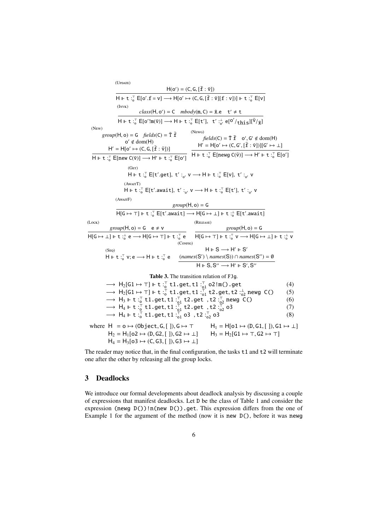(Update)  $H(o') = (C, G, [\overline{f} : \overline{v}])$ <br>  $H \Vdash t :_{o}^T E[o'.f = v] \longrightarrow H[o' \mapsto (C, G, [\overline{f} : \overline{v}][f : v])] \Vdash t :_{o}^T E[v]$  $(I_{\text{NVK}})$  $\text{class}(H, o') = C \quad \text{mod}y(m, C) = \bar{x}.e \quad t' \neq t$  $H \Vdash t :_{o}^{\tau} E[o' !m(\bar{v})] \longrightarrow H \Vdash t :_{o}^{\tau} E[t'], \quad t' :_{o'}^{\bot} e[0'/this] [\bar{V}/\bar{x}]$ (New)  $group(H, o) = G$  *fields*(C) =  $\overline{T}$   $\overline{f}$  $o' \notin dom(H)$  $H' = H[o' \mapsto (C, G, [\bar{f} : \bar{v}])]$  $H \Vdash t:_{o}^{T} E[\text{new } C(\bar{v})] \longrightarrow H' \Vdash t:_{o}^{T} E[o']$ (Newg)  $fields(C) = \overline{T} \overline{f} \quad o', G' \notin dom(H)$  $\int \frac{f \, d\, d\, s}{\, \mathrm{d} \, \mathrm{d} \, \mathrm{d} \, \mathrm{d} \, \mathrm{d} \, \mathrm{d} \, \mathrm{d} \, \mathrm{d} \, \mathrm{d} \, \mathrm{d} \, \mathrm{d} \, \mathrm{d} \, \mathrm{d} \, \mathrm{d} \, \mathrm{d} \, \mathrm{d} \, \mathrm{d} \, \mathrm{d} \, \mathrm{d} \, \mathrm{d} \, \mathrm{d} \, \mathrm{d} \, \mathrm{d} \, \mathrm{d} \, \mathrm{d} \, \mathrm{d} \, \mathrm{d} \, \mathrm{d} \, \mathrm{d} \$  $H \Vdash t:_{o}^{T} \mathsf{E}[\mathsf{newg C}(\bar{v})] \longrightarrow H' \Vdash t:_{o}^{T} \mathsf{E}[o']$ (Get)  $H \Vdash t :_{o}^{\tau} E[t'.get], t' :_{o'} v \longrightarrow H \Vdash t :_{o}^{\tau} E[v], t' :_{o'} v$ (AwaitT) H ⊩ t : $_{o}^{T}$  E[t'.await], t' :<sub>o'</sub> v → H ⊩ t : $_{o}^{T}$  E[t'], t' :<sub>o'</sub> v (AwaitF)  $group(H, o) = G$ <br>  $H[G \mapsto \top] \Vdash t :_o^{\top} E[t'.await] \longrightarrow H[G \mapsto \bot] \Vdash t :_o^{\bot} E[t'.await]$ (Lock)  $\frac{group(H, o) = G \quad e \neq v}{H[G \mapsto \bot] \Vdash t : o \to e \longrightarrow H[G \mapsto \top] \Vdash t : o \to o}$ (Release)  $group(H, o) = G$ <br>  $H[G \mapsto \top] \Vdash t :_{o}^{\top} v \longrightarrow H[G \mapsto \bot] \Vdash t :_{o}^{\bot} v$ (Seq)  $H \Vdash$  **t** :<sup>T</sup><sub>0</sub> **v**; **e**  $\longrightarrow$  **H**  $\Vdash$  **t** :<sup>T</sup><sub>0</sub> **e**  $(names(S') \setminus names(S)) \cap names(S'') = \emptyset$ (Config)  $H \Vdash S \longrightarrow H' \Vdash S'$  $H \Vdash S, S'' \longrightarrow H' \Vdash S', S''$ Table 3. The transition relation of FJg.  $\rightarrow$  H<sub>2</sub>[G1  $\rightarrow$  T]  $\parallel$  t :<sup>T</sup> t1.get, t1 :<sup>T</sup><sub>0</sub>1!m().get (4)<br>  $\rightarrow$  H<sub>2</sub>[G1  $\rightarrow$  T]  $\parallel$  t <sup>-T</sup> t1.get t1 <sup>-T</sup> t2.get t2 <sup>+1</sup> news C() (5)  $\rightarrow$  H<sub>2</sub>[G1  $\mapsto$  T]  $\Vdash$  t :  $\overline{t}$  t 1.get, t 1 :  $\overline{t}$  t 2.get, t 2 :  $\frac{1}{\omega}$  newg C() (5)<br>  $\rightarrow$  H<sub>2</sub>  $\Vdash$  +  $\overline{t}$  t 1 oet + 1  $\overline{t}$  t 2 oet + 2  $\overline{t}$  newg C() (6)  $\rightarrow$  H<sub>3</sub>  $\vdash$  t :<sup>T</sup><sub>0</sub> t 1 : get, t 1 : i<sup>T</sup><sub>0</sub> t 2 : iT<sub>0</sub> in t 2 : i<sup>T</sup><sub>0</sub> in t 2 : i<sup>T</sup><sub>0</sub> i c 3 (6) (6) (6)  $\rightarrow$  H<sub>4</sub>  $\mu$  t  $\cdot \cdot \cdot$  t 1.get, t 1  $\cdot \cdot \cdot$ <sup>T</sup> t 2.get , t 2  $\cdot \cdot \cdot$ <sup>T</sup> o 3 (7)<br>
→ H<sub>4</sub>  $\mu$  t  $\cdot$  <sup>T</sup> t 1 get t 1  $\cdot$  <sup>T</sup> o 3 t 2  $\cdot$  T o 3 (8) → H<sub>4</sub>  $\Vdash$  t : $\frac{1}{0}$  t 1.get, t 1 : $\frac{1}{01}$  o 3, t 2 : $\frac{1}{02}$  o 3 where  $H = o \mapsto (0 \text{bject}, G, [])$ ,  $G \mapsto \top$ <br>  $H_1 = H[o1 \mapsto (D, G1, [])$ ,  $G1 \mapsto \bot$ ]<br>  $H_3 = H_2[G1 \mapsto \top, G2 \mapsto \top]$  $H_2 = H_1[$   $\circ$  2  $\mapsto$   $(D, G_2, [$   $])$ ,  $G_2 \mapsto \perp$  $H_4 = H_3[03 \mapsto (C, G3, [1], G3 \mapsto \perp]$ 

The reader may notice that, in the final configuration, the tasks  $t1$  and  $t2$  will terminate one after the other by releasing all the group locks.

# 3 Deadlocks

We introduce our formal developments about deadlock analysis by discussing a couple of expressions that manifest deadlocks. Let D be the class of Table 1 and consider the expression (newg D())!n(new D()).get. This expression differs from the one of Example 1 for the argument of the method (now it is new D(), before it was newg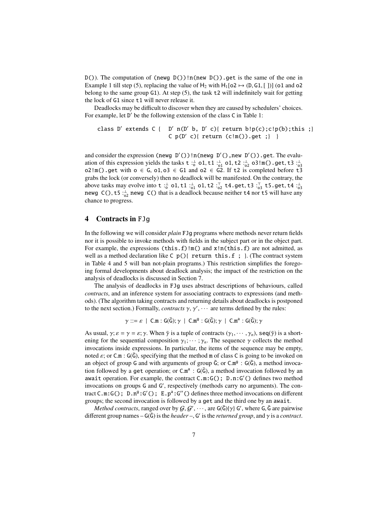$D()$ ). The computation of (newg  $D()$ )!n(new  $D()$ ). get is the same of the one in Example 1 till step (5), replacing the value of  $H_2$  with  $H_1[o2 \rightarrow (D, G1, [])]$  (o1 and o2 belong to the same group G1). At step (5), the task t2 will indefinitely wait for getting the lock of G1 since t1 will never release it.

Deadlocks may be difficult to discover when they are caused by schedulers' choices. For example, let D' be the following extension of the class C in Table 1:

```
class D' extends C \{D' n(D' b, D' c){ return b!p(c);c!p(b);this ;}
                      C p(D' c){ return (c|m()).get :} }
```
and consider the expression (newg  $D'($ ) !n(newg  $D'($ ),new  $D'($ ).get. The evaluation of this expression yields the tasks t  $\frac{1}{10}$  o1, t1  $\frac{1}{10}$  o1, t2  $\frac{1}{10}$  o3!m().get, t3  $\frac{1}{10}$ <br>o2!m() get, with  $0 \in G$  o1, o3  $\in G1$  and o2  $\in G2$  If t2 is completed before t3 o2!m().get with  $o \in G$ , o1, o3  $\in G1$  and o2  $\in G2$ . If t2 is completed before t3 grabs the lock (or conversely) then no deadlock will be manifested. On the contrary, the above tasks may evolve into t  $\frac{1}{10}$  o1, t1  $\frac{1}{101}$  o1, t2  $\frac{1}{102}$  t4.get, t3  $\frac{1}{103}$  t5.get, t4  $\frac{1}{103}$ <br>news CO t5  $\pm$  news CO that is a deadlock because neither t4 nor t5 will have any newg  $C()$ , t 5 : $\frac{1}{62}$  newg  $C()$  that is a deadlock because neither t 4 nor t 5 will have any chance to progress chance to progress.

# 4 Contracts in FJg

In the following we will consider *plain* FJg programs where methods never return fields nor it is possible to invoke methods with fields in the subject part or in the object part. For example, the expressions (this.f)!m() and  $x!n(this.f)$  are not admitted, as well as a method declaration like C  $p()$  return this. f; }. (The contract system in Table 4 and 5 will ban not-plain programs.) This restriction simplifies the foregoing formal developments about deadlock analysis; the impact of the restriction on the analysis of deadlocks is discussed in Section 7.

The analysis of deadlocks in FJg uses abstract descriptions of behaviours, called *contracts*, and an inference system for associating contracts to expressions (and methods). (The algorithm taking contracts and returning details about deadlocks is postponed to the next section.) Formally, *contracts*  $\gamma$ ,  $\gamma'$ ,  $\cdots$  are terms defined by the rules:

$$
\gamma ::= \varepsilon \mid C.m : G(\bar{G}); \gamma \mid C.m^g : G(\bar{G}); \gamma \mid C.m^a : G(\bar{G}); \gamma
$$

As usual,  $\gamma$ ;  $\varepsilon = \gamma = \varepsilon$ ;  $\gamma$ . When  $\bar{\gamma}$  is a tuple of contracts  $(\gamma_1, \dots, \gamma_n)$ , seq $(\bar{\gamma})$  is a shortening for the sequential composition  $\gamma_1; \cdots; \gamma_n$ . The sequence  $\gamma$  collects the method invocations inside expressions. In particular, the items of the sequence may be empty, noted  $\varepsilon$ ; or C.m : G( $\bar{G}$ ), specifying that the method m of class C is going to be invoked on an object of group G and with arguments of group  $\bar{G}$ ; or  $C \cdot m^q$ :  $G(\bar{G})$ , a method invocation followed by a net operation; or  $C \cdot m^q$ :  $G(\bar{G})$ , a method invocation followed by an tion followed by a get operation; or  $\text{C.m}^a$ :  $G(\bar{G})$ , a method invocation followed by an<br>avait operation. For example, the contract  $C_m(G)$ :  $D_n(G')$  defines two method await operation. For example, the contract  $C.m:G()$ ;  $D.n:G'()$  defines two method invocations on groups G and G', respectively (methods carry no arguments). The contract C.m:  $G()$ ;  $D.n^g: G'()$ ;  $E.p^a: G''()$  defines three method invocations on different groups; the second invocation is followed by a get and the third one by an await.

*Method contracts*, ranged over by  $G, G', \dots$ , are  $G(\bar{G})\{\gamma\}$  G', where G,  $\bar{G}$  are pairwise<br>erent group names –  $G(\bar{G})$  is the *header – G'* is the *returned group* and  $\gamma$  is a contract different group names  $-G(\bar{G})$  is the *header* –, G' is the *returned group*, and  $\gamma$  is a *contract*.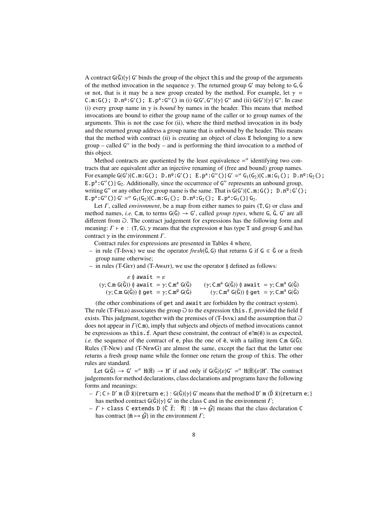A contract  $G(\bar{G})\{\gamma\}$  G' binds the group of the object this and the group of the arguments of the method invocation in the sequence  $\gamma$ . The returned group  $G'$  may belong to G. of the method invocation in the sequence γ. The returned group G' may belong to G,  $\bar{G}$  or not that is it may be a new group created by the method. For example, let  $\gamma$  – or not, that is it may be a new group created by the method. For example, let  $\gamma$  = C.m:G(); D.n<sup>g</sup>:G'(); E.p<sup>a</sup>:G''() in (i) G(G', G''){ $\gamma$ } G'' and (ii) G(G'){ $\gamma$ } G''. In case (i) every group name in  $\gamma$  is *bound* by names in the header. This means that method invocations are bound to either the group name of the caller or to group names of the arguments. This is not the case for (ii), where the third method invocation in its body and the returned group address a group name that is unbound by the header. This means that the method with contract (ii) is creating an object of class E belonging to a new  $group - called G'$  in the body – and is performing the third invocation to a method of this object.

Method contracts are quotiented by the least equivalence  $e^{\alpha}$  identifying two contracts that are equivalent after an injective renaming of (free and bound) group names. For example  $G(G')$ {C.m: $G()$ ;  $D.n^g : G'()$ ;  $E.p^a : G''()$ }  $G' = ^{\alpha} G_1(G_2)$ {C.m: $G_1()$ ;  $D.n^g : G_2()$ ;  $E.p^a: G''()$  G<sub>2</sub>. Additionally, since the occurrence of G'' represents an unbound group, writing G" or any other free group name is the same. That is  $G(G')$ {C.m: $G()$ ; D.n<sup>g</sup>: $G'()$ ;  $E.p^a: G''()$   $G' = ^{\alpha} G_1(G_2)$ {C.m: $G_1()$ ;  $D.n^g: G_2()$ ;  $E.p^a: G_3()$   $G_2$ .

Let Γ, called *environment*, be a map from either names to pairs (T, <sup>G</sup>) or class and method names, *i.e.* C.m, to terms  $G(\bar{G}) \rightarrow G'$ , called *group types*, where G,  $\bar{G}$ , G' are all different from  $\mathcal{D}$ . The contract judgement for expressions has the following form and meaning:  $\Gamma \vdash e : (T, G), \gamma$  means that the expression e has type T and group G and has contract  $\gamma$  in the environment  $\Gamma$ .

Contract rules for expressions are presented in Tables 4 where,

- in rule (T-Invk) we use the operator  $fresh(\bar{G}, G)$  that returns G if  $G \in \bar{G}$  or a fresh group name otherwise;
- in rules (T-Ger) and (T-Awair), we use the operator  $\delta$  defined as follows:

| $\varepsilon$ $\emptyset$ await $\varepsilon$                                                               |                                                                          |
|-------------------------------------------------------------------------------------------------------------|--------------------------------------------------------------------------|
| $(\gamma; C.m G(G))$ $\delta$ await $=\gamma; C.m^a G(G)$                                                   | $(\gamma; C.m^a G(\bar{G}))$ ( <i>await</i> = $\gamma; C.m^a G(\bar{G})$ |
| $(\gamma; \text{C.m } \text{G}(\bar{\text{G}}))$ (y get = $\gamma; \text{C.m}^g \text{G}(\bar{\text{G}})$ ) | $(\gamma; C.m^a \ G(\bar{G}))$ (i) get $= \gamma; C.m^a \ G(\bar{G})$    |
|                                                                                                             |                                                                          |

(the other combinations of get and await are forbidden by the contract system). The rule (T-FIELD) associates the group  $\supset$  to the expression this. f, provided the field f exists. This judgment, together with the premises of (T-INVK) and the assumption that  $\supset$ does not appear in  $\Gamma(\text{C.m})$ , imply that subjects and objects of method invocations cannot be expressions as this. f. Apart these constraint, the contract of  $e \, \text{Im}(\bar{e})$  is as expected, *i.e.* the sequence of the contract of e, plus the one of  $\bar{e}$ , with a tailing item C.m  $G(\bar{G})$ . Rules (T-New) and (T-NewG) are almost the same, except the fact that the latter one returns a fresh group name while the former one return the group of this. The other rules are standard.

Let  $G(\bar{G}) \rightarrow G' =^{\alpha} H(\bar{H}) \rightarrow H'$  if and only if  $G(\bar{G})\{\varepsilon\}G' =^{\alpha} H(\bar{H})\{\varepsilon\}H'$ . The contract judgements for method declarations, class declarations and programs have the following forms and meanings:

- $-I$ ; C  $\vdash$  D' m ( $\overline{D}$   $\overline{x}$ ){return e; } : G( $\overline{G}$ ){ $\gamma$ } G' means that the method D' m ( $\overline{D}$   $\overline{x}$ ){return e; } has method contract G( $\overline{G}$ ){ $\gamma$ } G' in the class C and in the environment  $\Gamma$ . has method contract  $G(\bar{G})\{\gamma\}$  G' in the class C and in the environment  $\Gamma$ ;<br> $\Gamma \vdash c$  lass C extends  $D \downarrow \overline{C}$   $\overline{f}$ ;  $\overline{M}$   $\vdash \overline{M}$   $\rightarrow \overline{G}$  means that the class d
- $\Gamma \vdash$  class C extends D { $\bar{C}$   $\bar{f}$ ;  $\bar{M}$ } : { $\bar{m} \mapsto \bar{G}$ } means that the class declaration C has contract { $\overline{m} \mapsto \overline{\mathcal{G}}$ } in the environment  $\Gamma$ ;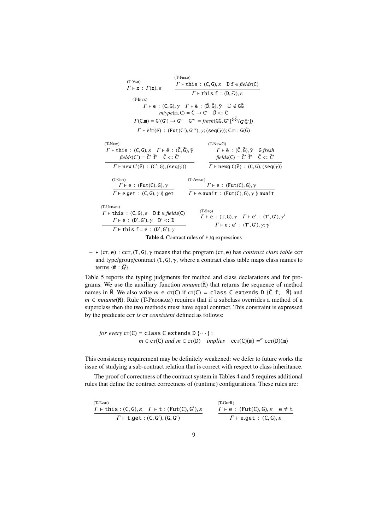| $(T$ -FIELD)<br>$(T-V_{AR})$<br>$\Gamma \vdash x : \Gamma(x), \varepsilon$<br>$(T-INVK)$                                                                                                                                                                      | $\Gamma$ + this: $(C, G)$ , $\varepsilon$ D $f \in \text{fields}(C)$<br>$\Gamma$ + this.f : (D, $\partial$ ), $\varepsilon$                                                                                                                                                                                                                                                                                                              |
|---------------------------------------------------------------------------------------------------------------------------------------------------------------------------------------------------------------------------------------------------------------|------------------------------------------------------------------------------------------------------------------------------------------------------------------------------------------------------------------------------------------------------------------------------------------------------------------------------------------------------------------------------------------------------------------------------------------|
|                                                                                                                                                                                                                                                               | $\Gamma \vdash e : (C, G), \gamma \quad \Gamma \vdash \bar{e} : (\bar{D}, \bar{G}), \bar{\gamma} \quad \bar{\cup} \notin \bar{GG}$<br>$mtype(m, C) = \overline{C} \rightarrow C' \overline{D} <: \overline{C}$<br>$\Gamma(\text{C.m}) = G'(\bar{G}') \rightarrow G''$ $G''' = \text{fresh}(G\bar{G}, G''[G\bar{G}/G'\bar{G}'])$<br>$\Gamma \vdash e!m(\bar{e})$ : $(Fut(C'), G'''), \gamma$ ; $(seq(\bar{\gamma}))$ ; C.m : $G(\bar{G})$ |
| $(T-New)$<br>$\Gamma$ + this : (C, G), $\varepsilon$ $\Gamma$ + $\bar{e}$ : ( $\bar{C}$ , $\bar{G}$ ), $\bar{\gamma}$<br>$fields(C') = \overline{C}' \overline{f}' \overline{C} < : \overline{C}'$<br>$\Gamma$ + new C'(ē) : (C', G), (seq( $\bar{\gamma}$ )) | $(T-NewG)$<br>$\Gamma \vdash \bar{e} : (\bar{C}, \bar{G}), \bar{\gamma}$ G fresh<br>$fields(C) = \overline{C}' \overline{f}' \overline{C} < : \overline{C}'$<br>$\Gamma$ + newg C( $\bar{e}$ ) : (C, G), (seq( $\bar{\gamma}$ ))                                                                                                                                                                                                         |
| $(T-GET)$<br>$\Gamma \vdash e : (Fut(C), G), \gamma$<br>$\Gamma \vdash$ e.get : $(C, G), \gamma \mathrel{\mathfrak{h}}$ get                                                                                                                                   | (T-Awarr)<br>$\Gamma \vdash e : (Fut(C), G), \gamma$<br>$\Gamma$ + e.await : (Fut(C), G), $\gamma$ ( await                                                                                                                                                                                                                                                                                                                               |
| (T-UPDATE)<br>$\Gamma$ + this: $(C, G)$ , $\varepsilon$ D $f \in \text{fields}(C)$<br>$\Gamma \vdash e : (D', G'), \gamma \quad D' \leq D$<br>$\Gamma$ + this.f = e : $(D', G'), \gamma$                                                                      | $(T-SEQ)$<br>$\Gamma \vdash e : (T, G), \gamma \quad \Gamma \vdash e' : (T', G'), \gamma'$<br>$\Gamma \vdash e$ ; $e'$ : $(T', G'), \gamma; \gamma'$                                                                                                                                                                                                                                                                                     |
|                                                                                                                                                                                                                                                               | <b>Table 4.</b> Contract rules of FJg expressions                                                                                                                                                                                                                                                                                                                                                                                        |

 $- \vdash (c_{\text{T}}, e)$ : cct,  $(T, G)$ ,  $\gamma$  means that the program (ct, e) has *contract class table* cct and type/group/contract  $(T, G)$ ,  $\gamma$ , where a contract class table maps class names to terms  $\{\bar{m} : \bar{\mathcal{G}}\}.$ 

Table 5 reports the typing judgments for method and class declarations and for programs. We use the auxiliary function  $mname(\bar{M})$  that returns the sequence of method names in  $\overline{M}$ . We also write  $m \in cr(C)$  if  $cr(C) = \text{class } C \text{ extends } D \text{ {C } F; M}$  and *m* ∈ *mname*( $\overline{M}$ ). Rule (T-Ркоскам) requires that if a subclass overrides a method of a superclass then the two methods must have equal contract. This constraint is expressed by the predicate ccr *is* cr *consistent* defined as follows:

for every 
$$
\text{cr}(C) = \text{class } C \text{ extends } D \{ \cdots \} :
$$
  
\n $m \in \text{cr}(C) \text{ and } m \in \text{cr}(D) \text{ implies } \text{ccr}(C)(m) = \alpha \text{ ccr}(D)(m)$ 

This consistency requirement may be definitely weakened: we defer to future works the issue of studying a sub-contract relation that is correct with respect to class inheritance.

The proof of correctness of the contract system in Tables 4 and 5 requires additional rules that define the contract correctness of (runtime) configurations. These rules are:

$$
\frac{\Gamma\vdash this : (C,G), \varepsilon \quad \Gamma \vdash t : (Fut(C), G'), \varepsilon}{\Gamma \vdash t . get : (C, G'), (G, G')} \qquad \frac{\Gamma \vdash e : (Fut(C), G), \varepsilon \quad e \neq t}{\Gamma \vdash e . get : (C, G), \varepsilon}
$$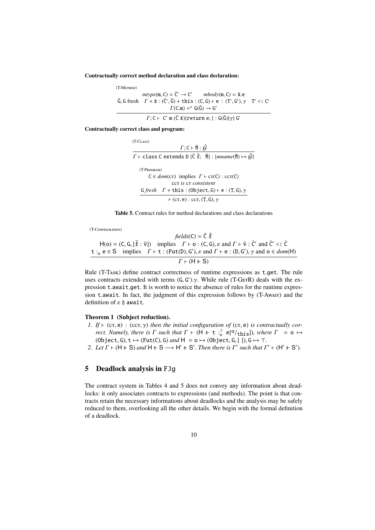Contractually correct method declaration and class declaration:

(T-Method)

$$
mtype(\mathfrak{m}, C) = \bar{C}' \rightarrow C' \quad \text{mbody}(\mathfrak{m}, C) = \bar{x}.e
$$
\n
$$
\bar{G}, G \text{ fresh} \quad \Gamma + \bar{x} : (\bar{C}', \bar{G}) + \text{this} : (C, G) \vdash e : (T', G'), \gamma \quad T' <: C'
$$
\n
$$
\Gamma(C.\mathfrak{m}) = \alpha' G(\bar{G}) \rightarrow G'
$$
\n
$$
\Gamma; C \vdash C' \mathfrak{m} (\bar{C} \bar{x}) \{\text{return } e; \} : G(\bar{G})\{\gamma\} G'
$$

Contractually correct class and program:

| $(T-CLASS)$                                                                                                                          |                                                            |  |  |  |
|--------------------------------------------------------------------------------------------------------------------------------------|------------------------------------------------------------|--|--|--|
| $\Gamma$ : C + $\overline{\mathbb{M}}$ : $\mathcal{G}$                                                                               |                                                            |  |  |  |
| $\Gamma$ + class C extends D { $\overline{C}$ $\overline{f}$ ; $\overline{M}$ } : {mname( $\overline{M}$ ) $\mapsto$ $\mathcal{G}$ } |                                                            |  |  |  |
| (T-Program)                                                                                                                          |                                                            |  |  |  |
| $C \in dom(c\tau)$ implies $\Gamma \vdash cr(C)$ : $cc\tau(C)$                                                                       |                                                            |  |  |  |
|                                                                                                                                      | CCT is CT consistent                                       |  |  |  |
|                                                                                                                                      | G fresh $\Gamma$ + this: (Object, G) + e: (T, G), $\gamma$ |  |  |  |
| $\vdash$ (ct, e) : cct, (T, G), $\gamma$                                                                                             |                                                            |  |  |  |
|                                                                                                                                      |                                                            |  |  |  |

Table 5. Contract rules for method declarations and class declarations

(T-Configuration)

$$
fields(C) = C f
$$
  
H(o) = (C, G, [ $\overline{f}$  :  $\overline{v}$ ]) implies  $\Gamma \vdash o : (C, G)$ ,  $\varepsilon$  and  $\Gamma \vdash \overline{v} : \overline{C}'$  and  $\overline{C}' <: \overline{C}$   
t :<sub>o</sub> e  $\in$  S implies  $\Gamma \vdash t : (Fut(D), G')$ ,  $\varepsilon$  and  $\Gamma \vdash e : (D, G')$ ,  $\gamma$  and  $o \in dom(H)$   
 $\Gamma \vdash (H \Vdash S)$ 

 $f(x) = \frac{1}{2}$ 

Rule (T-Task) define contract correctness of runtime expressions as t.get. The rule<br>uses contracts extended with terms  $(G, G') \propto$  While rule (T-GETR) deals with the exuses contracts extended with terms  $(G, G')$ . $\gamma$ . While rule (T-GETR) deals with the expression <sup>t</sup>.await.get. It is worth to notice the absence of rules for the runtime expression  $t$  await. In fact, the judgment of this expression follows by  $(T-AwAT)$  and the definition of  $\varepsilon \, \emptyset$  await.

#### Theorem 1 (Subject reduction).

- *1.* If  $\vdash$  (c $\tau$ , e) : (cc $\tau$ ,  $\gamma$ ) then the initial configuration of (c $\tau$ , e) is contractually cor*rect. Namely, there is*  $\Gamma$  *such that*  $\Gamma \vdash (H \Vdash t :_0^T e[0/t_{\text{his}}])$ *, where*  $\Gamma = 0 \mapsto (0 \text{hiect } G) \uparrow \mapsto (\text{Fut}(C) \uparrow G)$  and  $H = 0 \mapsto (0 \text{hiect } G \upharpoonright) \upharpoonright G \mapsto \top$  $(Object, G), t \mapsto (Fut(C), G) \text{ and } H = o \mapsto (Object, G, []), G \mapsto \top.$
- *2.* Let  $\Gamma \vdash (\mathsf{H} \Vdash \mathsf{S})$  and  $\mathsf{H} \Vdash \mathsf{S} \longrightarrow \mathsf{H}' \Vdash \mathsf{S}'$ . Then there is  $\Gamma'$  such that  $\Gamma' \vdash (\mathsf{H}' \Vdash \mathsf{S}')$ .

### 5 Deadlock analysis in FJg

The contract system in Tables 4 and 5 does not convey any information about deadlocks: it only associates contracts to expressions (and methods). The point is that contracts retain the necessary informations about deadlocks and the analysis may be safely reduced to them, overlooking all the other details. We begin with the formal definition of a deadlock.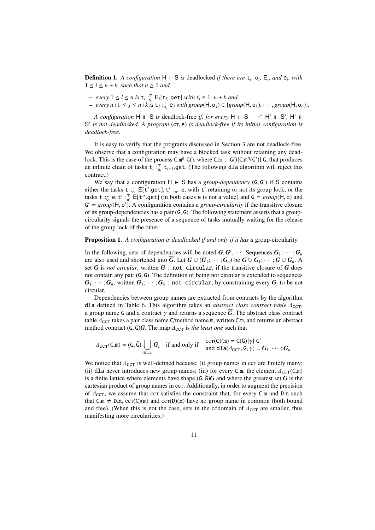Definition 1. *A configuration*  $H \vDash S$  *is* deadlocked *if there are*  $t_i$ ,  $o_i$ ,  $E_i$ *, and*  $e_i$ *, with*  $1 \leq i \leq n+k$ , such that  $n \geq 1$  and

- 
- every  $1 \le i \le n$  is  $t_i$ ;  $\overline{t}_i$  E<sub>i</sub>[ $t_{\ell_i}$ .get] with  $\ell_i \in 1..n + k$  and<br>
 every  $n+1 \le j \le n+k$  is  $t_j :_{\sigma_j}^{\perp} e_j$  with group(H,  $o_j$ ) ∈ {group(H,  $o_1$ ), · · · , group(H,  $o_n$ )}.

*A configuration*  $H \Vdash S$  *is* deadlock-free *if, for every*  $H \Vdash S \longrightarrow^* H' \Vdash S'$ ,  $H' \Vdash$ S' is not deadlocked. A program (ct, e) is deadlock-free if its initial configuration is<br>deadlock-free *deadlock-free.*

It is easy to verify that the programs discussed in Section 3 are not deadlock-free. We observe that a configuration may have a blocked task without retaining any deadlock. This is the case of the process  $C.m^g(G)$ , where  $C.m : G(\{C.m^g(G')\} \}$ , that produces an infinite chain of tasks  $\mathbf{t}_i :_{\mathbf{o}_i}^{\mathsf{T}} \mathbf{t}_{i+1}$ .get. (The following dla algorithm will reject this contract.)

We say that a configuration  $H \vDash S$  has a *group-dependency*  $(G, G')$  if S contains or the tasks  $t \cdot T$   $F[t'$  gat  $] t' \cdot g$  with  $t'$  retaining or not its group lock, or the either the tasks  $t :_{0}^{T} E[t'.get], t' :_{0'} e$ , with  $t'$  retaining or not its group lock, or the tasks  $t :_{0}^{T} E[t''.get]$  (in both cases e is not a value) and  $G = \alpha \alpha \mu n (H, \alpha)$  and tasks t : $\frac{1}{6}$  e, t' : $\frac{7}{6}$  E[t''.get] (in both cases e is not a value) and  $G = group(H, o)$  and  $G' = group(H, o')$ . A configuration contains a *group-circularity* if the transitive closure  $G' = group(H, o')$ . A configuration contains a *group-circularity* if the transitive closure<br>of its group-dependencies has a pair  $(G, G)$ . The following statement asserts that a groupof its group-dependencies has a pair (G, <sup>G</sup>). The following statement asserts that a groupcircularity signals the presence of a sequence of tasks mutually waiting for the release of the group lock of the other.

### Proposition 1. *A configuration is deadlocked if and only if it has a* group-circularity*.*

In the following, sets of dependencies will be noted  $G, G', \cdots$ . Sequences  $G_1, \cdots, G_n$ <br>are also used and shortened into  $\overline{G}$ . Let  $G \cup (G, \cdots, G_n)$  be  $G \cup G, \cdots, G \cup G_n$ are also used and shortened into  $\overline{G}$ . Let  $G \cup (G_1; \cdots; G_n)$  be  $G \cup G_1; \cdots; G \cup G_n$ . A set  $G$  is *not circular*, written  $G$ : not-circular, if the transitive closure of  $G$  does not contain any pair (G, <sup>G</sup>). The definition of being not circular is extended to sequences  $G_1; \cdots; G_n$ , written  $G_1; \cdots; G_n:$  not-circular, by constraining every  $G_i$  to be not circular.

Dependencies between group names are extracted from contracts by the algorithm dla defined in Table 6. This algorithm takes an *abstract class contract table* ∆<sub>CCT</sub>, a group name G and a contract  $\gamma$  and returns a sequence  $\overline{G}$ . The abstract class contract table  $\Delta_{\text{CCT}}$  takes a pair class name C/method name m, written C.m, and returns an abstract method contract  $(G, \bar{G})G$ . The map  $\Delta_{\text{CCT}}$  is *the least one* such that

$$
\Delta_{\text{CCT}}(\text{C.m}) = (\text{G}, \bar{\text{G}}) \bigcup_{i \in 1..n} \text{G}_i \quad \text{if and only if} \quad \begin{array}{c} \text{ccr}(\text{C})(\text{m}) = \text{G}(\bar{\text{G}})\{\gamma\} \text{ G}' \\ \text{and } d\text{la}(\Delta_{\text{CCT}}, \text{G}, \gamma) = \text{G}_1; \cdots; \text{G}_n \end{array}
$$

We notice that  $\Delta_{\text{CCT}}$  is well-defined because: (i) group names in ccr are finitely many; (ii) dla never introduces new group names; (iii) for every C.m, the element  $\Delta_{\text{CCT}}(C.m)$ is a finite lattice where elements have shape  $(G, \bar{G})G$  and where the greatest set *G* is the cartesian product of group names in cct. Additionally, in order to augment the precision of  $\Delta_{\text{CCT}}$ , we assume that ccr satisfies the constraint that, for every C.m and D.n such that  $C.m \neq D.n$ ,  $cc\tau(C)(m)$  and  $cc\tau(D)(n)$  have no group name in common (both bound and free). (When this is not the case, sets in the codomain of  $\Delta_{\text{CCT}}$  are smaller, thus manifesting more circularities.)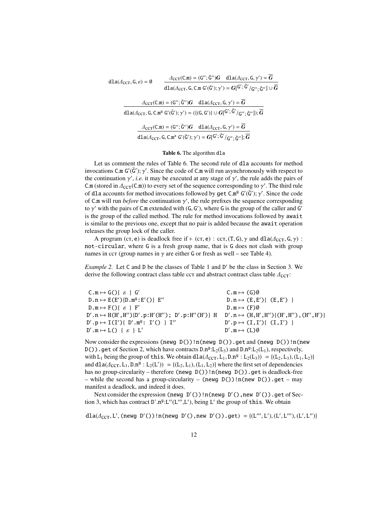| $dla(\Delta_{CCT}, G, \varepsilon) = \emptyset$                                                                          |                                                                                                                                                                                | $\Delta_{\text{CCT}}(C.m) = (G''; \bar{G}'')G$ dla $(\Delta_{\text{CCT}}, G, \gamma') = \overline{G}$ |  |
|--------------------------------------------------------------------------------------------------------------------------|--------------------------------------------------------------------------------------------------------------------------------------------------------------------------------|-------------------------------------------------------------------------------------------------------|--|
|                                                                                                                          | $dla(\angle_{CCT}, G, C.m G'(\bar{G}'); \gamma') = G[G'; \bar{G}' / G''; \bar{G}''] \cup \overline{G}$                                                                         |                                                                                                       |  |
|                                                                                                                          | $\Delta_{\text{CCT}}(C.m) = (G''; \bar{G}'')G$ dla $(\Delta_{\text{CCT}}, G, \gamma') = \bar{G}$                                                                               |                                                                                                       |  |
| $dla(\Delta_{CCT}, G, C.m^g G'(\bar{G}'); \gamma') = (\{(G, G')\} \cup G[G'; \bar{G}' /_{G''}; \bar{G}']); \overline{G}$ |                                                                                                                                                                                |                                                                                                       |  |
|                                                                                                                          | $\Delta_{\text{CCT}}(C.m) = (G''; \bar{G}'')G$ dla $(\Delta_{\text{CCT}}, G, \gamma') = G$                                                                                     |                                                                                                       |  |
|                                                                                                                          | dla( $\Delta_{\text{CCT}}$ , G, C.m <sup>a</sup> G'( $\bar{G}'$ ); $\gamma'$ ) = G[ <sup>G'; <math>\bar{G}'/_{G''}</math>: <math>\bar{G}''</math>]; <math>\bar{G}</math></sup> |                                                                                                       |  |

#### Table 6. The algorithm dla

Let us comment the rules of Table 6. The second rule of dla accounts for method invocations C.m G'( $\vec{G}$ '); γ'. Since the code of C.m will run asynchronously with respect to the continuation  $\gamma'$ , i.e., it may be executed at any stage of  $\gamma'$ , the rule adds the pairs of the continuation  $\gamma'$ , *i.e.* it may be executed at any stage of  $\gamma'$ , the rule adds the pairs of  $\Gamma$  m (stored in  $A_{\text{CCT}}(C, m)$ ) to every set of the sequence corresponding to  $\gamma'$ . The third rule C.m (stored in  $\Delta_{\text{CCT}}(C,m)$ ) to every set of the sequence corresponding to  $\gamma'$ . The third rule<br>of dl a accounts for method invocations followed by get C m<sup>g</sup>  $G'(\vec{G}')$ ;  $\gamma'$  Since the code of dla accounts for method invocations followed by  $\text{get C.m}^g G(\bar{G}'); \gamma'$ . Since the code<br>of C m will run *before* the continuation  $\gamma'$  the rule prefixes the sequence corresponding of C.m will run *before* the continuation  $\gamma'$ , the rule prefixes the sequence corresponding<br>to  $\gamma'$  with the pairs of C m extended with (G G'), where G is the group of the caller and G' to  $\gamma'$  with the pairs of C.m extended with  $(G, G')$ , where G is the group of the caller and G'<br>is the group of the called method. The rule for method invocations followed by await is the group of the called method. The rule for method invocations followed by await is similar to the previous one, except that no pair is added because the await operation releases the group lock of the caller.

A program (ct, e) is deadlock free if  $\vdash$  (ct, e) : cct,  $(T, G), \gamma$  and  $dla(\Delta_{CCT}, G, \gamma)$  : not-circular, where G is a fresh group name, that is G does not clash with group names in cct (group names in  $\gamma$  are either G or fresh as well – see Table 4).

*Example 2.* Let C and D be the classes of Table 1 and D' be the class in Section 3. We derive the following contract class table cc $\tau$  and abstract contract class table  $\Delta_{\text{CCT}}$ :

| $C.m \mapsto G() \{ \varepsilon \} G'$                                                                                          | $C.m \mapsto (G) \emptyset$           |
|---------------------------------------------------------------------------------------------------------------------------------|---------------------------------------|
| $D.n \mapsto E(E')[D.m^g:E']$ ) $E''$                                                                                           | $D.n \mapsto (E, E') \{ (E, E') \}$   |
| $D.m \mapsto F() \{ \varepsilon \} F'$                                                                                          | $D.m \mapsto (F) \emptyset$           |
| $D', n \mapsto H(H', H'') \{D', p : H'(H'')\}$ ; $D', p : H''(H')\}$ H $D', n \mapsto (H, H', H'') \{(H', H'')\}$ , $(H'', H')$ |                                       |
| $D'.p \mapsto I(I')\{\ D'.m^g: I'() \} I''$                                                                                     | $D', p \mapsto (I, I') \{ (I, I') \}$ |
| $D'$ . $m \mapsto L() \{ \varepsilon \} L'$                                                                                     | $D', m \mapsto (L) \emptyset$         |
|                                                                                                                                 |                                       |

Now consider the expressions (newg D())!n(newg D()).get and (newg D())!n(new D()).get of Section 2, which have contracts  $D.n^9:L_2(L_3)$  and  $D.n^9:L_2(L_1)$ , respectively, with L<sub>1</sub> being the group of this. We obtain  $dLa(CCT, L_1, D, n^g : L_2(L_3)) = \{(L_2, L_3), (L_1, L_2)\}$ <br>and  $dLa(CCT, L_1, D, n^g : L_2(L_2)) = \{(L_2, L_3), (L_1, L_2)\}$ and  $dla(\Delta_{CCT}, L_1, D.n^g : L_2(L')) = \{(L_2, L_1), (L_1, L_2)\}\$  where the first set of dependencies<br>has no group-circularity – therefore (never D()) in (never D()), get is deadlock-free has no group-circularity – therefore (newg  $D()$ )!n(newg  $D()$ ).get is deadlock-free – while the second has a group-circularity – (newg  $D()$ )!n(new  $D()$ ).get – may manifest a deadlock, and indeed it does.

Next consider the expression (newg  $D'($ ) !n(newg  $D'($ ),new  $D'($ ).get of Section 3, which has contract D'.nº:L"(L"",L'), being L' the group of this. We obtain

dla( $\Delta_{\text{CCT}}, L'$ , (newg D'())!n(newg D'(),new D'()).get) = {(L''',L'),(L',L'''),(L',L'')}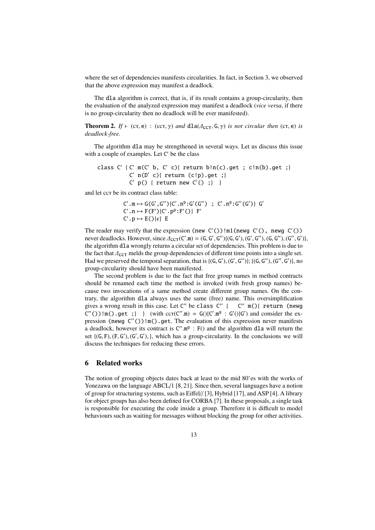where the set of dependencies manifests circularities. In fact, in Section 3, we observed that the above expression may manifest a deadlock.

The dla algorithm is correct, that is, if its result contains a group-circularity, then the evaluation of the analyzed expression may manifest a deadlock (*vice versa*, if there is no group-circularity then no deadlock will be ever manifested).

**Theorem 2.** *If*  $\vdash$  (ct, e) : (cct,  $\gamma$ ) *and*  $dla(\Delta_{\text{CCT}}, G, \gamma)$  *is not circular then* (ct, e) *is deadlock-free.*

The algorithm dla may be strengthened in several ways. Let us discuss this issue with a couple of examples. Let C' be the class

```
class C' { C' m(C' b, C' c){ return b!n(c).get ; c!n(b).get ;}
          C' n(D' c){ return (c!p).get ;}
          C' p() { return new C'() ;} }
```
and let ccr be its contract class table:

$$
C'.m \mapsto G(G', G'')\{C'.n^{g}: G'(G'') \ ; \ C'.n^{g}: G'(G')\} G'
$$
  

$$
C'.n \mapsto F(F')\{C'.p^{g}: F'()\} F'
$$
  

$$
C'.p \mapsto E() \{\epsilon\} E
$$

The reader may verify that the expression (new  $C'($ ))!m1(newg  $C'()$ , newg  $C'($ )) never deadlocks. However, since  $\Delta_{\text{CCT}}(C', m) = (G, G', G'')\{(G, G'), (G', G''), (G', G''), (G'', G')\}$ <br>the algorithm dla wrongly returns a circular set of dependencies. This problem is due to the algorithm dla wrongly returns a circular set of dependencies. This problem is due to the fact that  $\Delta_{\text{CCT}}$  melds the group dependencies of different time points into a single set. Had we preserved the temporal separation, that is  $\{(G, G'), (G', G'')\}$ ;  $\{(G, G''), (G'', G')\}$ , no<br>group-circularity should have been manifested group-circularity should have been manifested.

The second problem is due to the fact that free group names in method contracts should be renamed each time the method is invoked (with fresh group names) because two invocations of a same method create different group names. On the contrary, the algorithm dla always uses the same (free) name. This oversimplification gives a wrong result in this case. Let C" be class C" { C" m(){ return (newg  $C''(x)$ !  $m(x)$ . get ;  $\}$  (with ccr( $C''(m) = G(\{C'm^g : G'(c)\}$  and consider the expression (newg  $C'(0)$ !m().get. The evaluation of this expression never manifests a deadlock, however its contract is  $C''$ .  $m^9$ : F() and the algorithm dla will return the set  $J(G, F)$  ( $F(G')$ ), which has a group-circularity. In the conclusions we will set  $\{(G, F), (F, G'), (G', G'), \}$ , which has a group-circularity. In the conclusions we will<br>discuss the techniques for reducing these errors discuss the techniques for reducing these errors.

# 6 Related works

The notion of grouping objects dates back at least to the mid 80'es with the works of Yonezawa on the language ABCL/1 [8, 21]. Since then, several languages have a notion of group for structuring systems, such as Eiffel// [3], Hybrid [17], and ASP [4]. A library for object groups has also been defined for CORBA [7]. In these proposals, a single task is responsible for executing the code inside a group. Therefore it is difficult to model behaviours such as waiting for messages without blocking the group for other activities.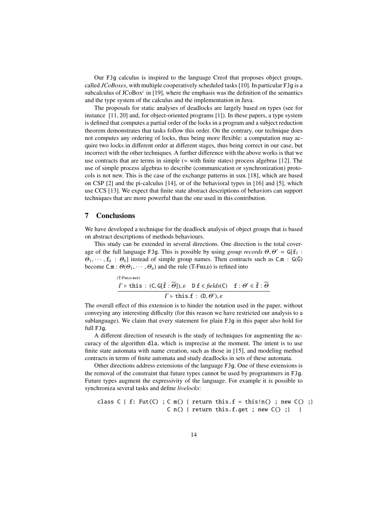Our FJg calculus is inspired to the language Creol that proposes object groups, called *JCoBoxes*, with multiple cooperatively scheduled tasks [10]. In particular FJg is a subcalculus of JCoBox*<sup>c</sup>* in [19], where the emphasis was the definition of the semantics and the type system of the calculus and the implementation in Java.

The proposals for static analyses of deadlocks are largely based on types (see for instance [11, 20] and, for object-oriented programs [1]). In these papers, a type system is defined that computes a partial order of the locks in a program and a subject reduction theorem demonstrates that tasks follow this order. On the contrary, our technique does not computes any ordering of locks, thus being more flexible: a computation may acquire two locks in different order at different stages, thus being correct in our case, but incorrect with the other techniques. A further difference with the above works is that we use contracts that are terms in simple (= with finite states) process algebras [12]. The use of simple process algebras to describe (communication or synchronization) protocols is not new. This is the case of the exchange patterns in sspl [18], which are based on CSP [2] and the pi-calculus [14], or of the behavioral types in [16] and [5], which use CCS [13]. We expect that finite state abstract descriptions of behaviors can support techniques that are more powerful than the one used in this contribution.

### 7 Conclusions

We have developed a technique for the deadlock analysis of object groups that is based on abstract descriptions of methods behaviours.

This study can be extended in several directions. One direction is the total coverage of the full language FJg. This is possible by using *group records*  $\Theta$ ,  $\Theta' = G[f_1 :$  $\Theta_1, \cdots, f_k : \Theta_k$  instead of simple group names. Then contracts such as C.m : G( $\bar{G}$ ) become C.m :  $\Theta(\Theta_1, \dots, \Theta_n)$  and the rule (T-FIELD) is refined into

$$
\frac{\Gamma \vdash \text{this}: (C, G[\overline{f} : \overline{\Theta}]), \varepsilon \quad D \ f \in \text{fields}(C) \quad f : \Theta' \in \overline{f} : \overline{\Theta}}{\Gamma \vdash \text{this}.f : (D, \Theta'), \varepsilon}
$$
\nThe overall effect of this extension is to hinder the notation used in the paper, without

conveying any interesting difficulty (for this reason we have restricted our analysis to a sublanguage). We claim that every statement for plain FJg in this paper also hold for full FJg.

A different direction of research is the study of techniques for augmenting the accuracy of the algorithm dla, which is imprecise at the moment. The intent is to use finite state automata with name creation, such as those in [15], and modeling method contracts in terms of finite automata and study deadlocks in sets of these automata.

Other directions address extensions of the language FJg. One of these extensions is the removal of the constraint that future types cannot be used by programmers in FJg. Future types augment the expressivity of the language. For example it is possible to synchroniza several tasks and define *livelocks*:

```
class C { f: Fut(C) ; C m() { return this. f = this!n() ; new C() ;}
                     C n() { return this.f.get ; new C() ;}
```